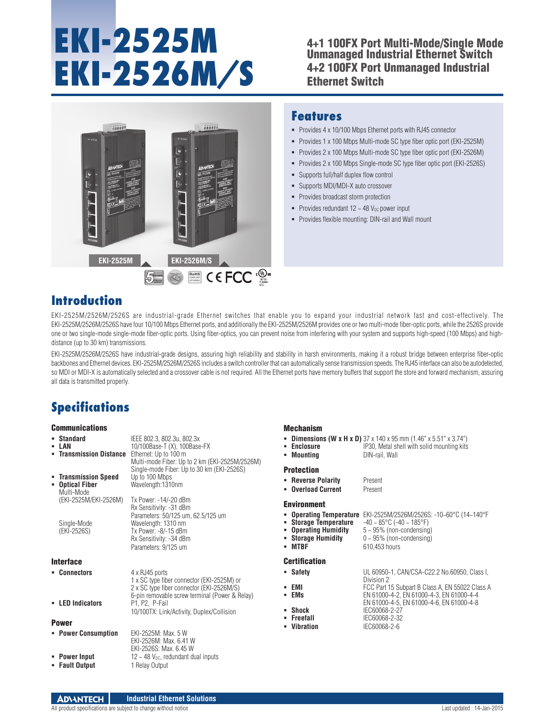# **EKI-2525M EKI-2526M/S**

#### 4+1 100FX Port Multi-Mode/Single Mode Unmanaged Industrial Ethernet Switch 4+2 100FX Port Unmanaged Industrial Ethernet Switch



#### **Features**

- Provides 4 x 10/100 Mbps Ethernet ports with RJ45 connector
- Provides 1 x 100 Mbps Multi-mode SC type fiber optic port (EKI-2525M)
- Provides 2 x 100 Mbps Multi-mode SC type fiber optic port (EKI-2526M)
- Provides 2 x 100 Mbps Single-mode SC type fiber optic port (EKI-2526S)
- Supports full/half duplex flow control
- Supports MDI/MDI-X auto crossover
- Provides broadcast storm protection
- Provides redundant  $12 \sim 48$  V<sub>DC</sub> power input
- **-** Provides flexible mounting: DIN-rail and Wall mount

#### **Introduction**

EKI-2525M/2526M/2526S are industrial-grade Ethernet switches that enable you to expand your industrial network fast and cost-effectively. The EKI-2525M/2526M/2526S have four 10/100 Mbps Ethernet ports, and additionally the EKI-2525M/2526M provides one or two multi-mode fiber-optic ports, while the 2526S provide one or two single-mode single-mode fiber-optic ports. Using fiber-optics, you can prevent noise from interfering with your system and supports high-speed (100 Mbps) and highdistance (up to 30 km) transmissions.

EKI-2525M/2526M/2526S have industrial-grade designs, assuring high reliability and stability in harsh environments, making it a robust bridge between enterprise fiber-optic backbones and Ethernet devices. EKI-2525M/2526M/2526S includes a switch controller that can automatically sense transmission speeds. The RJ45 interface can also be autodetected, so MDI or MDI-X is automatically selected and a crossover cable is not required. All the Ethernet ports have memory buffers that support the store and forward mechanism, assuring all data is transmitted properly.

### **Specifications**

#### Communications

| <b>Communications</b>                                 |                                                                                                                                                                                            | <b>Mechanism</b>                                                                                                   |                                                                                                                                                                                                                      |
|-------------------------------------------------------|--------------------------------------------------------------------------------------------------------------------------------------------------------------------------------------------|--------------------------------------------------------------------------------------------------------------------|----------------------------------------------------------------------------------------------------------------------------------------------------------------------------------------------------------------------|
| • Standard<br>- LAN<br>• Transmission Distance        | IEEE 802.3, 802.3u, 802.3x<br>10/100Base-T (X), 100Base-FX<br>Ethernet: Up to 100 m<br>Multi-mode Fiber: Up to 2 km (EKI-2525M/2526M)                                                      | Enclosure<br>٠.<br>• Mountina                                                                                      | <b>- Dimensions (W x H x D)</b> $37 \times 140 \times 95$ mm (1.46" x 5.51" x 3.74")<br>IP30, Metal shell with solid mounting kits<br>DIN-rail. Wall                                                                 |
| • Transmission Speed<br>• Optical Fiber<br>Multi-Mode | Single-mode Fiber: Up to 30 km (EKI-2526S)<br>Up to 100 Mbps<br>Wavelength:1310nm                                                                                                          | <b>Protection</b><br>• Reverse Polarity<br><b>Overload Current</b>                                                 | Present<br>Present                                                                                                                                                                                                   |
| (EKI-2525M/EKI-2526M)<br>Single-Mode<br>(EKI-2526S)   | Tx Power: -14/-20 dBm<br>Rx Sensitivity: -31 dBm<br>Parameters: 50/125 um, 62.5/125 um<br>Wavelength: 1310 nm<br>Tx Power: $-8/-15$ dBm<br>Rx Sensitivity: -34 dBm<br>Parameters: 9/125 um | <b>Environment</b><br><b>Storage Temperature</b><br><b>Operating Humidity</b><br><b>Storage Humidity</b><br>- MTBF | <b>• Operating Temperature</b> EKI-2525M/2526M/2526S: -10~60°C (14~140°F<br>$-40 \sim 85^{\circ}$ C ( $-40 \sim 185^{\circ}$ F)<br>$5 \sim 95\%$ (non-condensing)<br>$0 \sim 95\%$ (non-condensing)<br>610,453 hours |
| <b>Interface</b>                                      |                                                                                                                                                                                            | <b>Certification</b>                                                                                               |                                                                                                                                                                                                                      |
| • Connectors                                          | 4 x RJ45 ports<br>1 x SC type fiber connector (EKI-2525M) or<br>2 x SC type fiber connector (EKI-2526M/S)<br>6-pin removable screw terminal (Power & Relay)                                | • Safety<br>EMI<br>٠<br><b>EMs</b><br>٠                                                                            | UL 60950-1, CAN/CSA-C22.2 No.60950, Class I,<br>Division 2<br>FCC Part 15 Subpart B Class A, EN 55022 Class A<br>EN 61000-4-2, EN 61000-4-3, EN 61000-4-4                                                            |
| • LED Indicators                                      | P1, P2, P-Fail<br>10/100TX: Link/Activity, Duplex/Collision                                                                                                                                | Shock<br>٠                                                                                                         | EN 61000-4-5, EN 61000-4-6, EN 61000-4-8<br>IEC60068-2-27                                                                                                                                                            |
| <b>Power</b>                                          |                                                                                                                                                                                            | • Freefall<br>Vibration<br>٠                                                                                       | IEC60068-2-32<br>IEC60068-2-6                                                                                                                                                                                        |
| • Power Consumption                                   | EKI-2525M: Max. 5 W<br>EKI-2526M: Max. 6.41 W<br>EKI-2526S: Max. 6.45 W                                                                                                                    |                                                                                                                    |                                                                                                                                                                                                                      |
| • Power Input                                         | $12 \sim 48$ V <sub>pc</sub> , redundant dual inputs                                                                                                                                       |                                                                                                                    |                                                                                                                                                                                                                      |
| • Fault Output                                        | 1 Relay Output                                                                                                                                                                             |                                                                                                                    |                                                                                                                                                                                                                      |

**ADVANTECH Industrial Ethernet Solutions** All product specifications are subject to change without notice  $\blacksquare$  Last updated : 14-Jan-2015